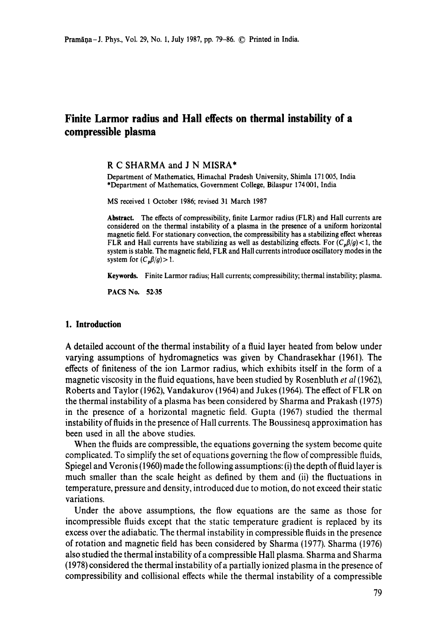# **Finite Larmor radius and Hall effects on thermal instability of a compressible plasma**

#### **R C** SHARMA and **J N** MISRA\*

Department of Mathematics, Himachal Pradesh University, Shimla 171005, India \*Department of Mathematics, Government College, Bilaspur 174 001, India

MS received 1 October 1986; revised 31 March 1987

**Abstract.** The effects of compressibility, finite Larmor radius (FLR) and Hall currents are considered on the thermal instability of a plasma in the presence of a uniform horizontal magnetic field. For stationary convection, the compressibility has a stabilizing effect whereas FLR and Hall currents have stabilizing as well as destabilizing effects. For  $(C_p \beta/q)$  < 1, the system is stable. The magnetic field, FLR and Hall currents introduce oscillatory modes in **the**  system for  $(C_n\beta/q) > 1$ .

**Keywords.** Finite Larmor radius; Hall currents; compressibility; thermal instability; plasma.

PACS No. 52.35

## **1. Introduction**

A detailed account of the thermal instability of a fluid layer heated from below under varying assumptions of hydromagnetics was given by Chandrasekhar (1961). The effects of finiteness of the ion Larmor radius, which exhibits itself in the form of a magnetic viscosity in the fluid equations, have been studied by Rosenbluth *et al* (1962), Roberts and Taylor (1962), Vandakurov (1964) and Jukes (1964). The effect of FLR on the thermal instability of a plasma has been considered by Sharma and Prakash (1975) in the presence of a horizontal magnetic field. Gupta (1967) studied the thermal instability of fluids in the presence of Hall currents. The Boussinesq approximation has been used in all the above studies.

When the fluids are compressible, the equations governing the system become quite complicated. To simplify the set of equations governing the flow of compressible fluids, Spiegel and Veronis (1960) made the following assumptions: (i) the depth of fluid layer is much smaller than the scale height as defined by them and (ii) the fluctuations in temperature, pressure and density, introduced due to motion, do not exceed their static variations.

Under the above assumptions, the flow equations are the same as those for incompressible fluids except that the static temperature gradient is replaced by its excess over the adiabatic. The thermal instability in compressible fluids in the presence of rotation and magnetic field has been considered by Sharma (1977). Sharma (1976) also studied the thermal instability of a compressible Hall plasma. Sharma and Sharma (1978) considered the thermal instability of a partially ionized plasma in the presence of compressibility and collisional effects while the thermal instability of a compressible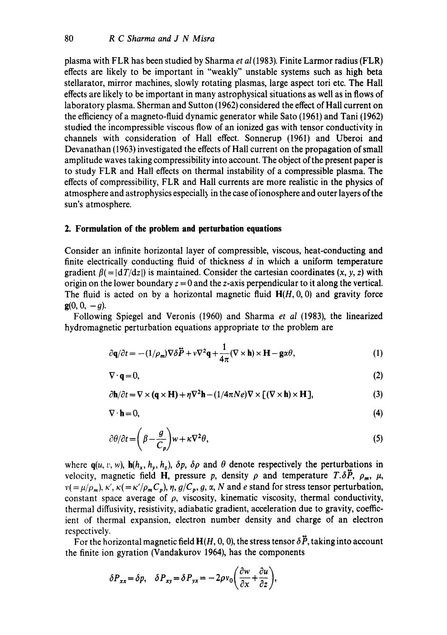plasma with FLR has been studied by Sharma *et al* (1983). Finite Larmor radius (FLR) effects are likely to be important in "weakly" unstable systems such as high beta stellarator, mirror machines, slowly rotating plasmas, large aspect tori etc. The Hall effects are likely to be important in many astrophysical situations as well as in flows of laboratory plasma. Sherman and Sutton (1962) considered the effect of Hall current on the efficiency of a magneto-fluid dynamic generator while Sato (1961) and Tani (1962) studied the incompressible viscous flow of an ionized gas with tensor conductivity in channels with consideration of Hall effect. Sonnerup (1961) and Uberoi and Devanathan (1963) investigated the effects of Hall current on the propagation of small amplitude waves taking compressibility into account. The object of the present paper is to study FLR and Hall effects on thermal instability of a compressible plasma. The effects of compressibility, FLR and Hall currents are more realistic in the physics of atmosphere and astrophysics especiall) in the case of ionosphere and outer layers ofthe sun's atmosphere.

#### **2. Formulation of the problem and perturbation equations**

Consider an infinite horizontal layer of compressible, viscous, heat-conducting and finite electrically conducting fluid of thickness d in which a uniform temperature gradient  $\beta$ (= $|dT/dz|$ ) is maintained. Consider the cartesian coordinates (x, y, z) with origin on the lower boundary  $z = 0$  and the z-axis perpendicular to it along the vertical. The fluid is acted on by a horizontal magnetic fluid  $H(H, 0, 0)$  and gravity force  $g(0, 0, -q)$ .

Following Spiegel and Veronis (1960) and Sharma *et al* (1983), the linearized hydromagnetic perturbation equations appropriate to the problem are

$$
\partial \mathbf{q}/\partial t = -(1/\rho_m) \nabla \delta \vec{P} + v \nabla^2 \mathbf{q} + \frac{1}{4\pi} (\nabla \times \mathbf{h}) \times \mathbf{H} - \mathbf{g} \alpha \theta, \tag{1}
$$

$$
\nabla \cdot \mathbf{q} = 0,\tag{2}
$$

$$
\partial \mathbf{h}/\partial t = \nabla \times (\mathbf{q} \times \mathbf{H}) + \eta \nabla^2 \mathbf{h} - (1/4\pi N e) \nabla \times [(\nabla \times \mathbf{h}) \times \mathbf{H}],
$$
\n(3)

$$
\nabla \cdot \mathbf{h} = 0,\tag{4}
$$

$$
\partial \theta / \partial t = \left( \beta - \frac{g}{C_p} \right) w + \kappa \nabla^2 \theta, \tag{5}
$$

where  $q(u, v, w)$ ,  $h(h_x, h_y, h_z)$ ,  $\delta p$ ,  $\delta \rho$  and  $\theta$  denote respectively the perturbations in velocity, magnetic field H, pressure p, density  $\rho$  and temperature  $T.\delta\vec{P}$ ,  $\rho_m$ ,  $\mu$ ,  $v( = \mu/\rho_m)$ ,  $\kappa'$ ,  $\kappa( = \kappa'/\rho_m C_p)$ ,  $\eta$ ,  $g/C_p$ ,  $g$ ,  $\alpha$ , N and e stand for stress tensor perturbation, constant space average of  $\rho$ , viscosity, kinematic viscosity, thermal conductivity, thermal diffusivity, resistivity, adiabatic gradient, acceleration due to gravity, coefficient of thermal expansion, electron number density and charge of an electron respectively.

For the horizontal magnetic field  $H(H, 0, 0)$ , the stress tensor  $\delta \vec{P}$ , taking into account the finite ion gyration (Vandakurov 1964), has the components

$$
\delta P_{xx} = \delta p, \quad \delta P_{xy} = \delta P_{yx} = -2\rho v_0 \left( \frac{\partial w}{\partial x} + \frac{\partial u}{\partial z} \right),
$$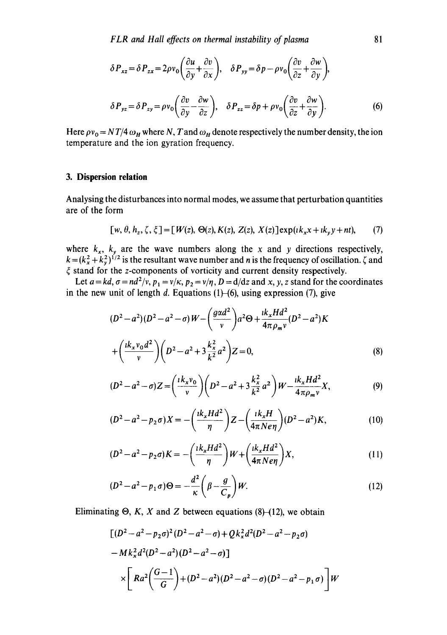$$
\delta P_{xz} = \delta P_{zx} = 2\rho v_0 \left(\frac{\partial u}{\partial y} + \frac{\partial v}{\partial x}\right), \quad \delta P_{yy} = \delta p - \rho v_0 \left(\frac{\partial v}{\partial z} + \frac{\partial w}{\partial y}\right),
$$
  

$$
\delta P_{yz} = \delta P_{zy} = \rho v_0 \left(\frac{\partial v}{\partial y} - \frac{\partial w}{\partial z}\right), \quad \delta P_{zz} = \delta p + \rho v_0 \left(\frac{\partial v}{\partial z} + \frac{\partial w}{\partial y}\right).
$$
 (6)

Here  $\rho v_0 = N T/4 \omega_H$  where N, T and  $\omega_H$  denote respectively the number density, the ion temperature and the ion gyration frequency.

### **3. Dispersion relation**

Analysing the disturbances into normal modes, we assume that perturbation quantities are of the form

$$
[w, \theta, h_z, \zeta, \xi] = [W(z), \Theta(z), K(z), Z(z), X(z)] \exp(i k_x x + i k_y y + nt), \qquad (7)
$$

where  $k_x$ ,  $k_y$  are the wave numbers along the x and y directions respectively,  $k = (k_x^2 + k_y^2)^{1/2}$  is the resultant wave number and *n* is the frequency of oscillation.  $\zeta$  and  $\xi$  stand for the z-components of vorticity and current density respectively.

Let  $a = kd$ ,  $\sigma = nd^2/v$ ,  $p_1 = v/k$ ,  $p_2 = v/\eta$ ,  $D = d/dz$  and x, y, z stand for the coordinates in the new unit of length d. Equations  $(1)$ -(6), using expression (7), give

$$
(D2 - a2)(D2 - a2 - \sigma)W - \left(\frac{g\alpha d2}{v}\right)a2 \Theta + \frac{ik_x H d2}{4\pi \rho_m v}(D2 - a2)K
$$

$$
+ \left(\frac{ik_x v_0 d2}{v}\right)\left(D2 - a2 + 3\frac{k_x^2}{k^2}a2\right)Z = 0,
$$
(8)

$$
(D^2 - a^2 - \sigma)Z = \left(\frac{ik_xv_0}{v}\right)\left(D^2 - a^2 + 3\frac{k_x^2}{k^2}a^2\right)W - \frac{ik_xHd^2}{4\pi\rho_m v}X,\tag{9}
$$

$$
(D^{2} - a^{2} - p_{2}\sigma)X = -\left(\frac{ik_{x}Hd^{2}}{\eta}\right)Z - \left(\frac{ik_{x}H}{4\pi N e\eta}\right)(D^{2} - a^{2})K,
$$
 (10)

$$
(D2 - a2 - p2 \sigma) K = -\left(\frac{\iota k_x H d2}{\eta}\right) W + \left(\frac{\iota k_x H d2}{4\pi N e \eta}\right) X, \tag{11}
$$

$$
(D2 - a2 - p1\sigma)\Theta = -\frac{d2}{\kappa} \left(\beta - \frac{g}{C_{p}}\right)W.
$$
 (12)

Eliminating  $\Theta$ , K, X and Z between equations (8)–(12), we obtain

$$
\begin{aligned} &\left[ (D^2 - a^2 - p_2 \sigma)^2 (D^2 - a^2 - \sigma) + Q k_x^2 d^2 (D^2 - a^2 - p_2 \sigma) \right. \\ &\left. - M k_x^2 d^2 (D^2 - a^2) (D^2 - a^2 - \sigma) \right] \\ &\times \left[ R a^2 \left( \frac{G - 1}{G} \right) + (D^2 - a^2) (D^2 - a^2 - \sigma) (D^2 - a^2 - p_1 \sigma) \right] W \end{aligned}
$$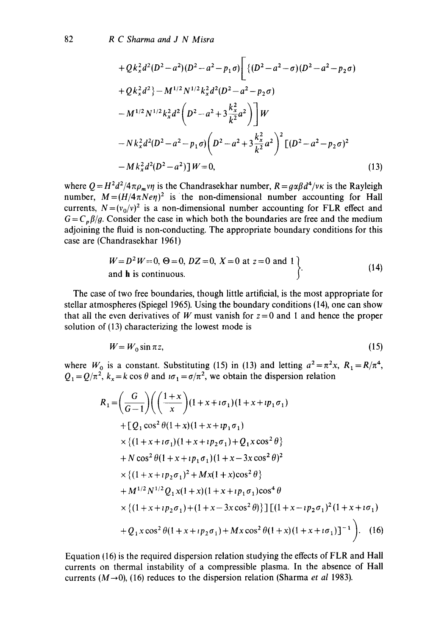$$
+ Qk_x^2 d^2 (D^2 - a^2)(D^2 - a^2 - p_1 \sigma) \left[ \left\{ (D^2 - a^2 - \sigma)(D^2 - a^2 - p_2 \sigma) \right.\right.\n+ Qk_x^2 d^2 \} - M^{1/2} N^{1/2} k_x^2 d^2 (D^2 - a^2 - p_2 \sigma) \n- M^{1/2} N^{1/2} k_x^2 d^2 \left( D^2 - a^2 + 3 \frac{k_x^2}{k^2} a^2 \right) \right] W \n- Nk_x^2 d^2 (D^2 - a^2 - p_1 \sigma) \left( D^2 - a^2 + 3 \frac{k_x^2}{k^2} a^2 \right)^2 \left[ (D^2 - a^2 - p_2 \sigma)^2 \right. \n- Mk_x^2 d^2 (D^2 - a^2) \right] W = 0,
$$
\n(13)

where  $Q = H^2 d^2/4 \pi \rho_m v \eta$  is the Chandrasekhar number,  $R = g \alpha \beta d^4/v \kappa$  is the Rayleigh number,  $M = (H/4\pi N e\eta)^2$  is the non-dimensional number accounting for Hall currents,  $N=(v_0/v)^2$  is a non-dimensional number accounting for FLR effect and  $G = C_p \beta / g$ . Consider the case in which both the boundaries are free and the medium adjoining the fluid is non-conducting. The appropriate boundary conditions for this case are (Chandrasekhar 196l)

$$
W = D2 W = 0, \Theta = 0, DZ = 0, X = 0 \text{ at } z = 0 \text{ and } 1
$$
  
and **h** is continuous. (14)

The case of two free boundaries, though little artificial, is the most appropriate for stellar atmospheres (Spiegel 1965). Using the boundary conditions (14), one can show that all the even derivatives of W must vanish for  $z=0$  and 1 and hence the proper solution of (13) characterizing the lowest mode is

$$
W = W_0 \sin \pi z,\tag{15}
$$

where  $W_0$  is a constant. Substituting (15) in (13) and letting  $a^2 = \pi^2 x$ ,  $R_1 = R/\pi^4$ ,  $Q_1 = Q/\pi^2$ ,  $k_x = k \cos \theta$  and  $i\sigma_1 = \sigma/\pi^2$ , we obtain the dispersion relation

$$
R_1 = \left(\frac{G}{G-1}\right) \left(\left(\frac{1+x}{x}\right) (1+x+i\sigma_1)(1+x+i p_1 \sigma_1) + \left[Q_1 \cos^2 \theta (1+x)(1+x+i p_1 \sigma_1)\right] \times \left\{(1+x+i\sigma_1)(1+x+i p_2 \sigma_1)+Q_1 x \cos^2 \theta\right\} + N \cos^2 \theta (1+x+i p_1 \sigma_1)(1+x-3x \cos^2 \theta)^2 \times \left\{(1+x+i p_2 \sigma_1)^2 + M x (1+x) \cos^2 \theta\right\} + M^{1/2} N^{1/2} Q_1 x (1+x) (1+x+i p_1 \sigma_1) \cos^4 \theta \times \left\{(1+x+i p_2 \sigma_1)+(1+x-3x \cos^2 \theta)\right\} \left[ \left(1+x-i p_2 \sigma_1\right)^2 (1+x+i \sigma_1) + Q_1 x \cos^2 \theta (1+x+i p_2 \sigma_1) + M x \cos^2 \theta (1+x) (1+x+i \sigma_1) \right]^{-1} \right). (16)
$$

Equation (16) is the required dispersion relation studying the effects of FLR and Hall currents on thermal instability of a compressible plasma. In the absence of Hall currents  $(M\rightarrow 0)$ , (16) reduces to the dispersion relation (Sharma *et al* 1983).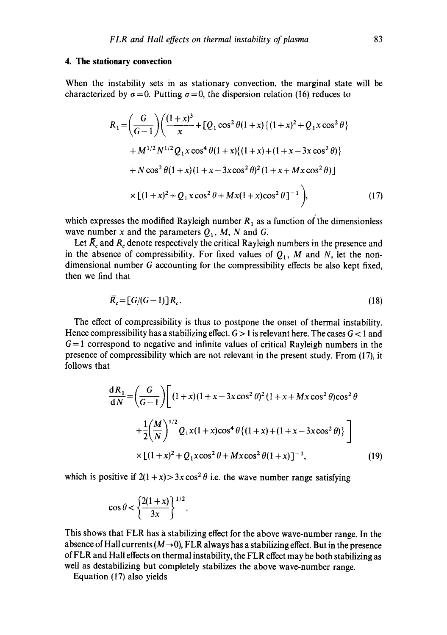## **4. The stationary convection**

When the instability sets in as stationary convection, the marginal state will be characterized by  $\sigma=0$ . Putting  $\sigma=0$ , the dispersion relation (16) reduces to

$$
R_1 = \left(\frac{G}{G-1}\right) \left(\frac{(1+x)^3}{x} + [Q_1 \cos^2 \theta (1+x) \{(1+x)^2 + Q_1 x \cos^2 \theta\} + M^{1/2} N^{1/2} Q_1 x \cos^4 \theta (1+x) \{(1+x) + (1+x-3x \cos^2 \theta)\} + N \cos^2 \theta (1+x) (1+x-3x \cos^2 \theta)^2 (1+x+Mx \cos^2 \theta)\right]
$$
  
 
$$
\times [(1+x)^2 + Q_1 x \cos^2 \theta + Mx(1+x) \cos^2 \theta]^{-1}, \qquad (17)
$$

which expresses the modified Rayleigh number  $R_1$  as a function of the dimensionless wave number x and the parameters  $Q_1$ , M, N and G.

Let  $\overline{R}_c$  and  $R_c$  denote respectively the critical Rayleigh numbers in the presence and in the absence of compressibility. For fixed values of  $Q_1$ , M and N, let the nondimensional number G accounting for the compressibility effects be also kept fixed, then we find that

$$
\overline{R}_c = [G/(G-1)]R_c. \tag{18}
$$

The effect of compressibility is thus to postpone the onset of thermal instability. Hence compressibility has a stabilizing effect.  $G > 1$  is relevant here. The cases  $G < 1$  and  $G = 1$  correspond to negative and infinite values of critical Rayleigh numbers in the presence of compressibility which are not relevant in the present study. From (17), it follows that

$$
\frac{dR_1}{dN} = \left(\frac{G}{G-1}\right) \left[ (1+x)(1+x-3x\cos^2\theta)^2 (1+x+Mx\cos^2\theta)\cos^2\theta + \frac{1}{2}\left(\frac{M}{N}\right)^{1/2} Q_1 x (1+x)\cos^4\theta \{(1+x)+(1+x-3x\cos^2\theta)\}\right]
$$
  
×  $[(1+x)^2 + Q_1 x\cos^2\theta + Mx\cos^2\theta (1+x)]^{-1}$ , (19)

which is positive if  $2(1+x) > 3x \cos^2 \theta$  i.e. the wave number range satisfying

$$
\cos\theta < \left\{\frac{2(1+x)}{3x}\right\}^{1/2}.
$$

This shows that FLR has a stabilizing effect for the above wave-number range. In the absence of Hall currents ( $\dot{M} \rightarrow 0$ ), FLR always has a stabilizing effect. But in the presence of FLR and Hall effects on thermal instability, the FLR effect may be both stabilizing as well as destabilizing but completely stabilizes the above wave-number range.

Equation (17) also yields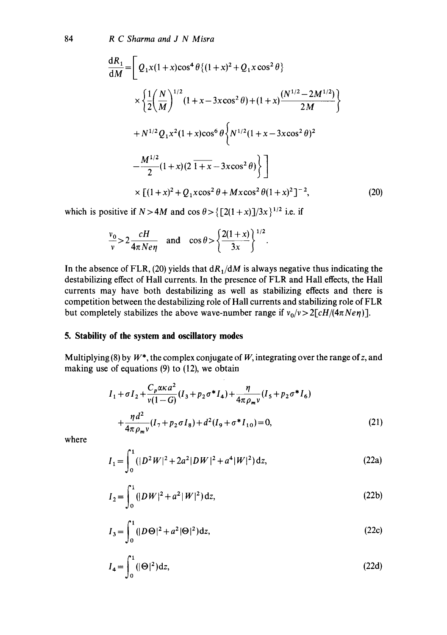84 *R C Sharma and J N Misra* 

$$
\frac{dR_1}{dM} = \left[ Q_1 x (1+x) \cos^4 \theta \{ (1+x)^2 + Q_1 x \cos^2 \theta \} \times \left\{ \frac{1}{2} \left( \frac{N}{M} \right)^{1/2} (1+x-3x \cos^2 \theta) + (1+x) \frac{(N^{1/2}-2M^{1/2})}{2M} \right\} \right. \\
\left. + N^{1/2} Q_1 x^2 (1+x) \cos^6 \theta \left\{ N^{1/2} (1+x-3x \cos^2 \theta)^2 \right. \\
\left. - \frac{M^{1/2}}{2} (1+x) (2 \overline{1+x} - 3x \cos^2 \theta) \right\} \right] \\
\times \left[ (1+x)^2 + Q_1 x \cos^2 \theta + Mx \cos^2 \theta (1+x)^2 \right]^{-2}, \tag{20}
$$

 $\ddot{\phantom{0}}$ 

which is positive if  $N > 4M$  and  $\cos \theta > \left\{ \left[ 2(1+x) \right] / 3x \right\}^{1/2}$  i.e. if

$$
\frac{v_0}{v} > 2 \frac{cH}{4\pi N e \eta} \quad \text{and} \quad \cos \theta > \left\{ \frac{2(1+x)}{3x} \right\}^{1/2}
$$

In the absence of FLR, (20) yields that  $dR_1/dM$  is always negative thus indicating the destabilizing effect of Hall currents. In the presence of FLR and Hall effects, the Hall currents may have both destabilizing as well as stabilizing effects and there is competition between the destabilizing role of Hall currents and stabilizing role of FLR but completely stabilizes the above wave-number range if  $v_0/v > 2[cH/(4\pi Ne\eta)]$ .

# **5. Stability of the system and oscillatory modes**

Multiplying (8) by  $W^*$ , the complex conjugate of W, integrating over the range of z, and making use of equations (9) to (12), we obtain

$$
I_1 + \sigma I_2 + \frac{C_p \alpha \kappa a^2}{v(1 - G)} (I_3 + p_2 \sigma^* I_4) + \frac{\eta}{4\pi \rho_m v} (I_5 + p_2 \sigma^* I_6)
$$
  
+ 
$$
\frac{\eta d^2}{4\pi \rho_m v} (I_7 + p_2 \sigma I_8) + d^2 (I_9 + \sigma^* I_{10}) = 0,
$$
 (21)

where

$$
I_1 = \int_0^1 (|D^2 W|^2 + 2a^2 |DW|^2 + a^4 |W|^2) dz,
$$
 (22a)

$$
I_2 = \int_0^1 (|DW|^2 + a^2 |W|^2) dz,
$$
 (22b)

$$
I_3 = \int_0^1 (|D\Theta|^2 + a^2 |\Theta|^2) dz,
$$
 (22c)

$$
I_4 = \int_0^1 (|\Theta|^2) dz,
$$
 (22d)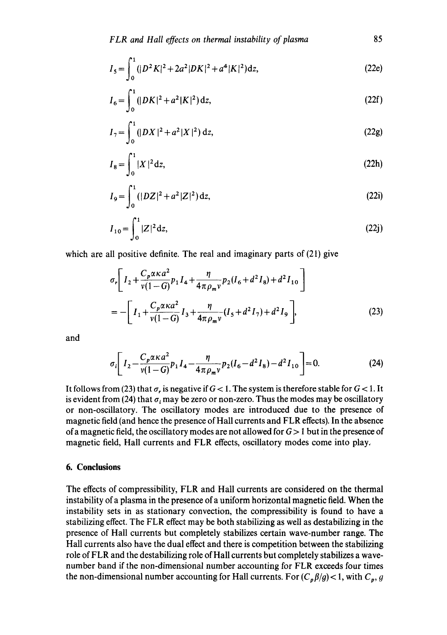$$
I_5 = \int_0^1 (|D^2 K|^2 + 2a^2 |DK|^2 + a^4 |K|^2) dz,
$$
 (22e)

$$
I_6 = \int_0^1 (|DK|^2 + a^2 |K|^2) dz,
$$
 (22f)

$$
I_7 = \int_0^1 (|DX|^2 + a^2 |X|^2) dz,
$$
 (22g)

$$
I_8 = \int_0^1 |X|^2 dz,
$$
 (22h)

$$
I_9 = \int_0^1 (|DZ|^2 + a^2 |Z|^2) dz,
$$
 (22i)

$$
I_{10} = \int_0^1 |Z|^2 \, \mathrm{d}z,\tag{22j}
$$

which are all positive definite. The real and imaginary parts of (21) give

$$
\sigma_r \left[ I_2 + \frac{C_p \alpha \kappa a^2}{v(1-G)} p_1 I_4 + \frac{\eta}{4 \pi \rho_m v} p_2 (I_6 + d^2 I_8) + d^2 I_{10} \right]
$$
  
= 
$$
- \left[ I_1 + \frac{C_p \alpha \kappa a^2}{v(1-G)} I_3 + \frac{\eta}{4 \pi \rho_m v} (I_5 + d^2 I_7) + d^2 I_9 \right],
$$
 (23)

and

$$
\sigma_i \left[ I_2 - \frac{C_p \alpha \kappa a^2}{\nu (1 - G)} p_1 I_4 - \frac{\eta}{4 \pi \rho_m \nu} p_2 (I_6 - d^2 I_8) - d^2 I_{10} \right] = 0. \tag{24}
$$

It follows from (23) that  $\sigma_r$  is negative if  $G < 1$ . The system is therefore stable for  $G < 1$ . It is evident from (24) that  $\sigma_i$  may be zero or non-zero. Thus the modes may be oscillatory or non-oscillatory. The oscillatory modes are introduced due to the presence of magnetic field (and hence the presence of Hall currents and FLR effects). In the absence of a magnetic field, the oscillatory modes are not allowed for  $G > 1$  but in the presence of magnetic field, Hall currents and FLR effects, oscillatory modes come into play,

# **6. Conclusions**

The effects of compressibility, FLR and Hall currents are considered on the thermal instability of a plasma in the presence of a uniform horizontal magnetic field. When the instability sets in as stationary convection, the compressibility is found to have a stabilizing effect. The FLR effect may be both stabilizing as well as destabilizing in the presence of Hall currents but completely stabilizes certain wave-number range. The Hall currents also have the dual effect and there is competition between the stabilizing role of FLR and the destabilizing role of Hall currents but completely stabilizes a wavenumber band if the non-dimensional number accounting for FLR exceeds four times the non-dimensional number accounting for Hall currents. For  $(C_p \beta / g) < 1$ , with  $C_p$ , g